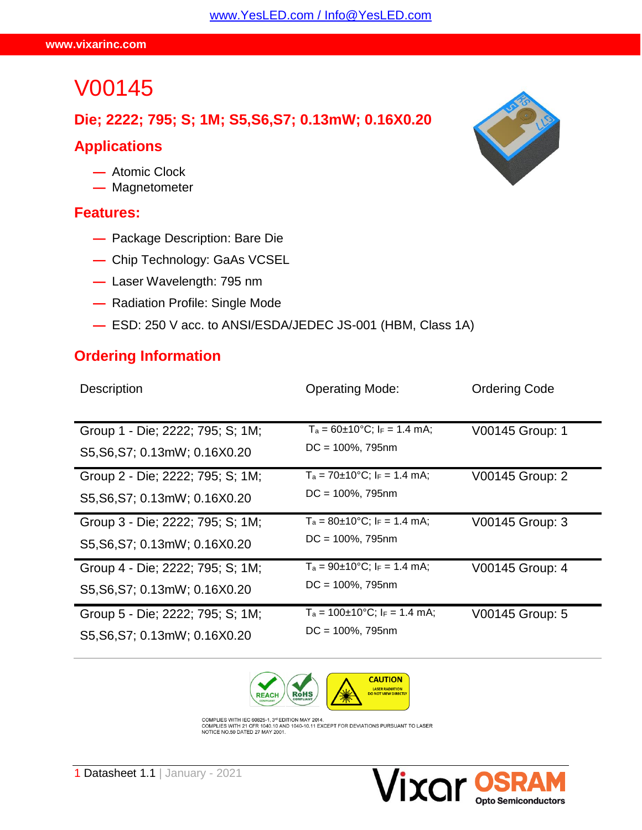# V00145

#### **Die; 2222; 795; S; 1M; S5,S6,S7; 0.13mW; 0.16X0.20**

### **Applications**

- **—** Atomic Clock
- **—** Magnetometer

#### **Features:**

- **—** Package Description: Bare Die
- **—** Chip Technology: GaAs VCSEL
- **—** Laser Wavelength: 795 nm
- **—** Radiation Profile: Single Mode
- **—** ESD: 250 V acc. to ANSI/ESDA/JEDEC JS-001 (HBM, Class 1A)

#### **Ordering Information**

| Description                                                         | <b>Operating Mode:</b>                                                         | <b>Ordering Code</b> |
|---------------------------------------------------------------------|--------------------------------------------------------------------------------|----------------------|
| Group 1 - Die; 2222; 795; S; 1M;<br>S5, S6, S7; 0.13mW; 0.16X0.20   | $T_a = 60 \pm 10^{\circ}$ C; IF = 1.4 mA;<br>$DC = 100\%$ , 795nm              | V00145 Group: 1      |
| Group 2 - Die; 2222; 795; S; 1M;<br>S5, S6, S7; 0.13mW; 0.16X0.20   | $T_a = 70 \pm 10^{\circ}$ C; I <sub>F</sub> = 1.4 mA;<br>$DC = 100\%$ , 795nm  | V00145 Group: 2      |
| Group 3 - Die; 2222; 795; S; 1M;<br>S5, S6, S7; 0.13 mW; 0.16 X0.20 | $T_a = 80 \pm 10^{\circ}$ C; IF = 1.4 mA;<br>$DC = 100\%$ , 795nm              | V00145 Group: 3      |
| Group 4 - Die; 2222; 795; S; 1M;<br>S5, S6, S7; 0.13 mW; 0.16 X0.20 | $T_a = 90\pm 10^{\circ}$ C; $I_F = 1.4$ mA;<br>$DC = 100\%$ , 795nm            | V00145 Group: 4      |
| Group 5 - Die; 2222; 795; S; 1M;<br>S5, S6, S7; 0.13 mW; 0.16 X0.20 | $T_a = 100 \pm 10^{\circ}$ C; I <sub>F</sub> = 1.4 mA;<br>$DC = 100\%$ , 795nm | V00145 Group: 5      |



COMPLIES WITH IEC 60825-1, 3º EDITION MAY 2014.<br>COMPLIES WITH 21 CFR 1040.10 AND 1040-10.11 EXCEPT FOR DEVIATIONS PURSUANT TO LASER<br>NOTICE NO.50 DATED 27 MAY 2001.



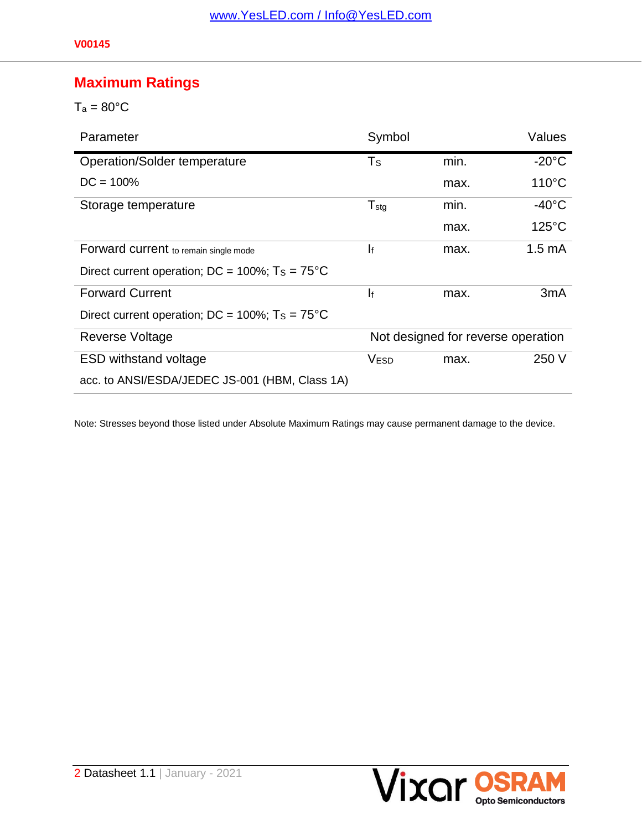**V00145**

# **Maximum Ratings**

 $T_a = 80$ °C

| Parameter                                                    | Symbol           |                                    | Values           |
|--------------------------------------------------------------|------------------|------------------------------------|------------------|
| Operation/Solder temperature                                 | $T_{\rm S}$      | min.                               | $-20^{\circ}$ C  |
| $DC = 100\%$                                                 |                  | max.                               | $110^{\circ}$ C  |
| Storage temperature                                          | $T_{\text{stg}}$ | min.                               | $-40^{\circ}$ C  |
|                                                              |                  | max.                               | $125^{\circ}$ C  |
| Forward current to remain single mode                        | If               | max.                               | $1.5 \text{ mA}$ |
| Direct current operation; DC = $100\%$ ; Ts = $75^{\circ}$ C |                  |                                    |                  |
| <b>Forward Current</b>                                       | ŀ                | max.                               | 3 <sub>m</sub> A |
| Direct current operation; DC = $100\%$ ; Ts = $75^{\circ}$ C |                  |                                    |                  |
| <b>Reverse Voltage</b>                                       |                  | Not designed for reverse operation |                  |
| <b>ESD withstand voltage</b>                                 | <b>VESD</b>      | max.                               | 250 V            |
| acc. to ANSI/ESDA/JEDEC JS-001 (HBM, Class 1A)               |                  |                                    |                  |

Note: Stresses beyond those listed under Absolute Maximum Ratings may cause permanent damage to the device.

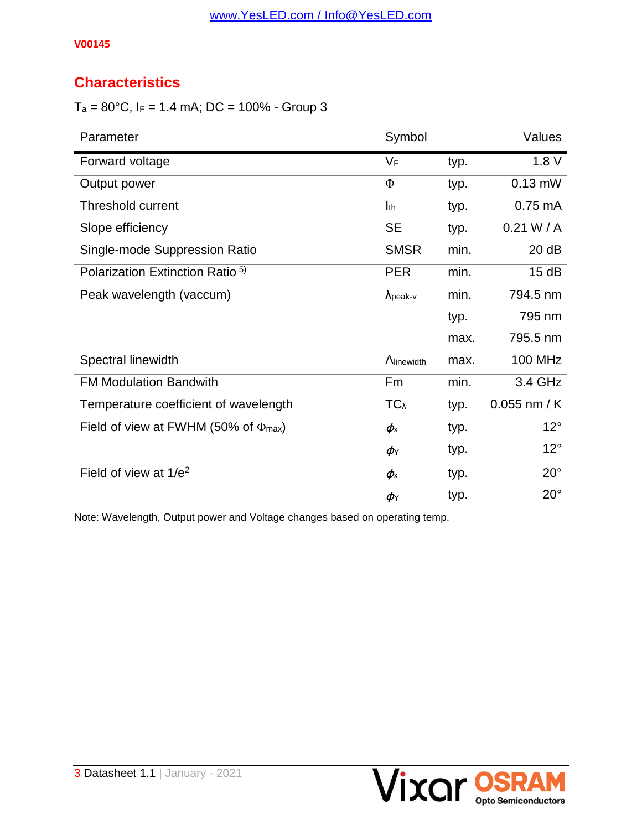### **Characteristics**

 $T_a = 80^{\circ}$ C, IF = 1.4 mA; DC = 100% - Group 3

| Parameter                                           | Symbol                      |      | Values         |
|-----------------------------------------------------|-----------------------------|------|----------------|
| Forward voltage                                     | VF                          | typ. | 1.8V           |
| Output power                                        | Φ                           | typ. | $0.13$ mW      |
| <b>Threshold current</b>                            | I <sub>th</sub>             | typ. | $0.75$ mA      |
| Slope efficiency                                    | <b>SE</b>                   | typ. | 0.21 W/A       |
| Single-mode Suppression Ratio                       | <b>SMSR</b>                 | min. | 20 dB          |
| Polarization Extinction Ratio <sup>5)</sup>         | <b>PER</b>                  | min. | 15dB           |
| Peak wavelength (vaccum)                            | $\lambda$ <sub>peak-v</sub> | min. | 794.5 nm       |
|                                                     |                             | typ. | 795 nm         |
|                                                     |                             | max. | 795.5 nm       |
| Spectral linewidth                                  | <b>Ninewidth</b>            | max. | <b>100 MHz</b> |
| <b>FM Modulation Bandwith</b>                       | Fm                          | min. | 3.4 GHz        |
| Temperature coefficient of wavelength               | $TC_{\lambda}$              | typ. | $0.055$ nm / K |
| Field of view at FWHM (50% of $\Phi_{\text{max}}$ ) | $\phi_{\rm X}$              | typ. | $12^{\circ}$   |
|                                                     | $\phi$                      | typ. | $12^{\circ}$   |
| Field of view at $1/e^2$                            | $\phi_{\rm X}$              | typ. | $20^{\circ}$   |
|                                                     | $\phi$                      | typ. | $20^{\circ}$   |

Note: Wavelength, Output power and Voltage changes based on operating temp.

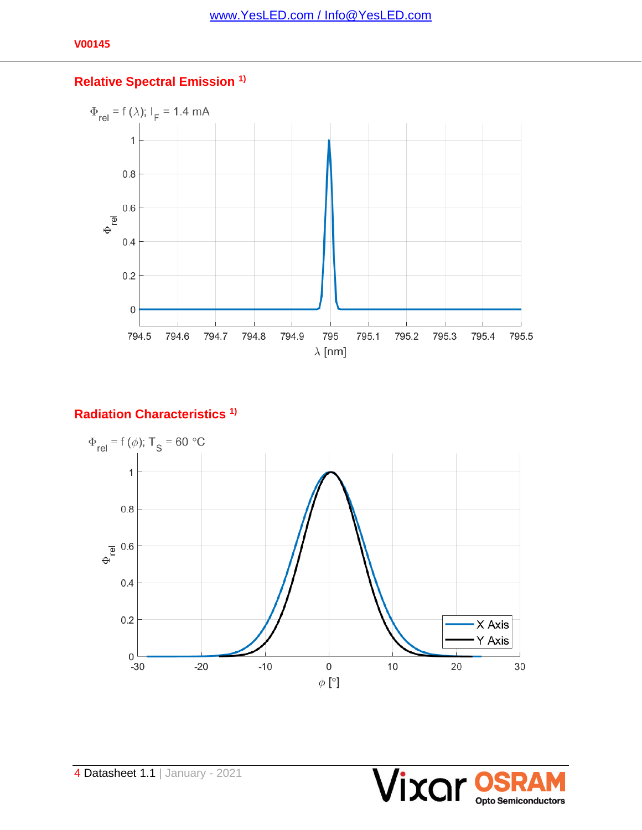#### **Relative Spectral Emission [1\)](#page-9-0)**



#### **Radiation Characteristics [1\)](#page-9-0)**



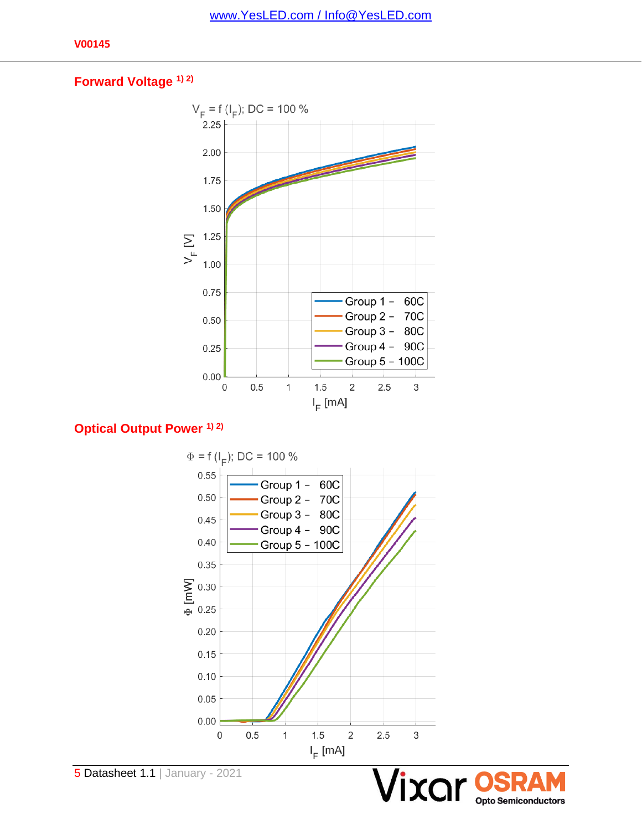#### **Forward Voltage [1\)](#page-9-0) [2\)](#page-9-1)**



#### **Optical Output Power [1\)](#page-9-0) [2\)](#page-9-1)**



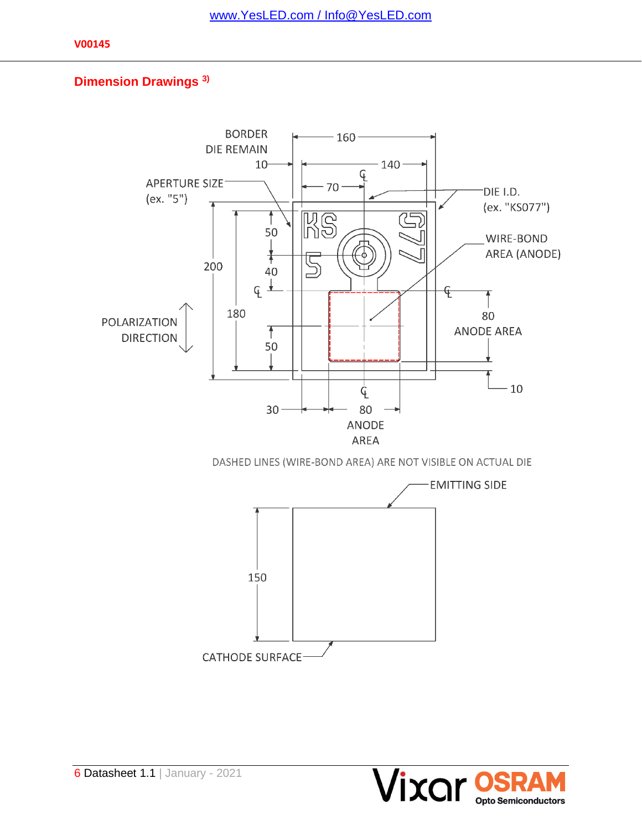#### **Dimension Drawings [3\)](#page-9-2)**

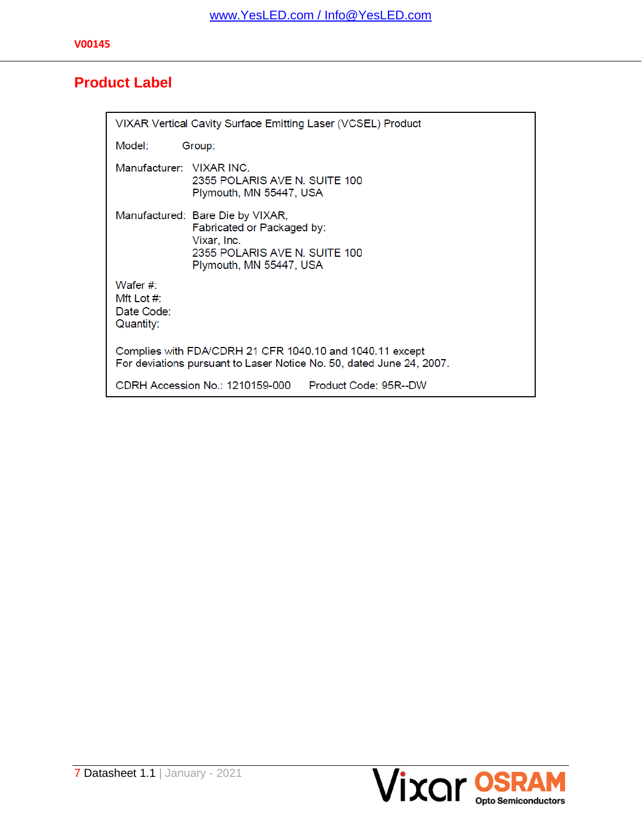### **Product Label**

| VIXAR Vertical Cavity Surface Emitting Laser (VCSEL) Product                                                                     |                                                                                                                                           |  |
|----------------------------------------------------------------------------------------------------------------------------------|-------------------------------------------------------------------------------------------------------------------------------------------|--|
| Model:                                                                                                                           | Group:                                                                                                                                    |  |
| Manufacturer: VIXAR INC.                                                                                                         | 2355 POLARIS AVE N. SUITE 100<br>Plymouth, MN 55447, USA                                                                                  |  |
|                                                                                                                                  | Manufactured: Bare Die by VIXAR,<br>Fabricated or Packaged by:<br>Vixar, Inc.<br>2355 POLARIS AVE N. SUITE 100<br>Plymouth, MN 55447, USA |  |
| Wafer $#$ :<br>Mft Lot #:<br>Date Code:<br>Quantity:                                                                             |                                                                                                                                           |  |
| Complies with FDA/CDRH 21 CFR 1040.10 and 1040.11 except<br>For deviations pursuant to Laser Notice No. 50, dated June 24, 2007. |                                                                                                                                           |  |
| CDRH Accession No.: 1210159-000<br>Product Code: 95R--DW                                                                         |                                                                                                                                           |  |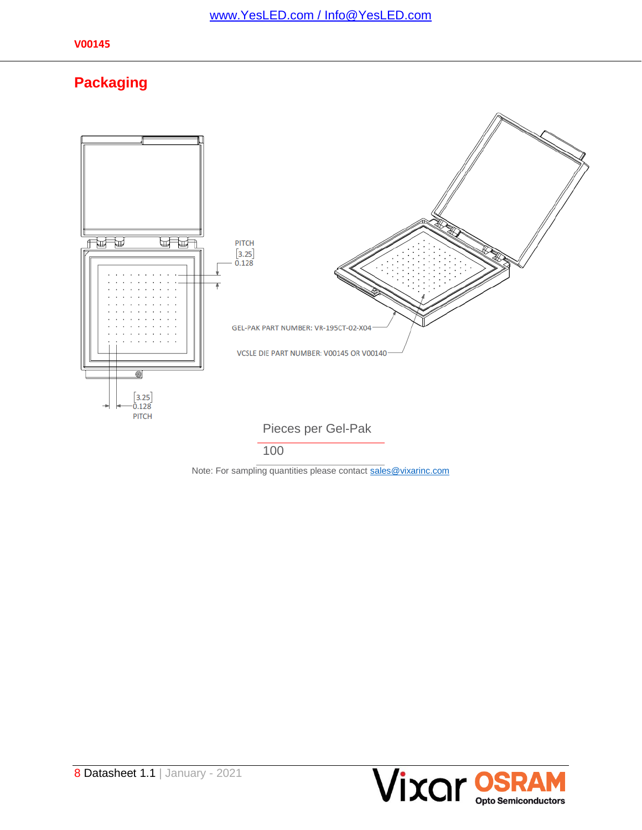# **Packaging**



Note: For sampling quantities please contact [sales@vixarinc.com](mailto:sales@vixarinc.com)



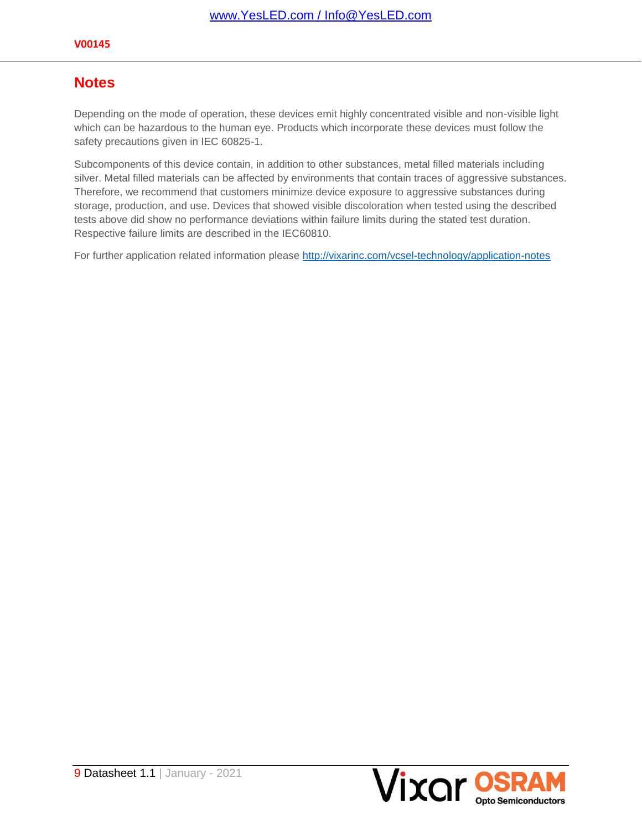#### **Notes**

Depending on the mode of operation, these devices emit highly concentrated visible and non-visible light which can be hazardous to the human eye. Products which incorporate these devices must follow the safety precautions given in IEC 60825-1.

Subcomponents of this device contain, in addition to other substances, metal filled materials including silver. Metal filled materials can be affected by environments that contain traces of aggressive substances. Therefore, we recommend that customers minimize device exposure to aggressive substances during storage, production, and use. Devices that showed visible discoloration when tested using the described tests above did show no performance deviations within failure limits during the stated test duration. Respective failure limits are described in the IEC60810.

For further application related information please<http://vixarinc.com/vcsel-technology/application-notes>

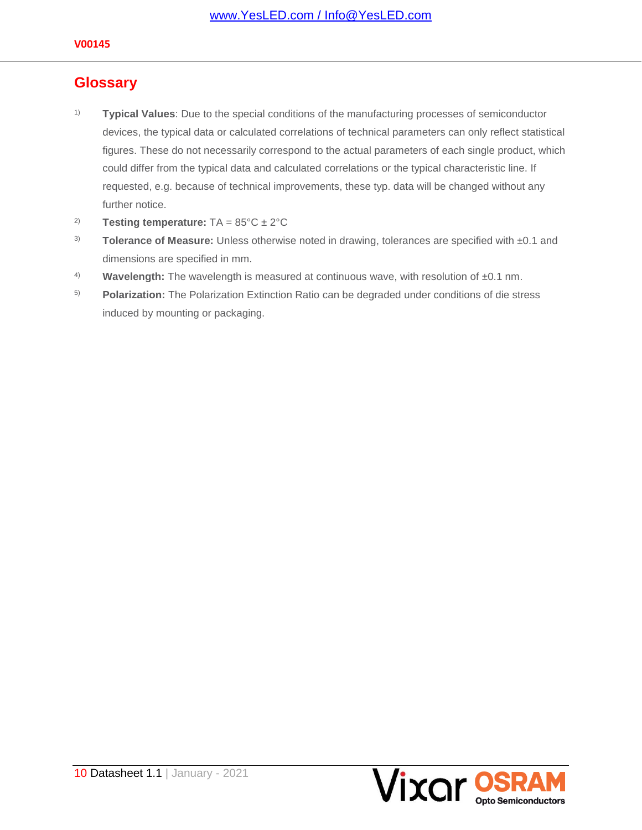#### **Glossary**

- <span id="page-9-0"></span>1) **Typical Values**: Due to the special conditions of the manufacturing processes of semiconductor devices, the typical data or calculated correlations of technical parameters can only reflect statistical figures. These do not necessarily correspond to the actual parameters of each single product, which could differ from the typical data and calculated correlations or the typical characteristic line. If requested, e.g. because of technical improvements, these typ. data will be changed without any further notice.
- <span id="page-9-1"></span><sup>2)</sup> **Testing temperature:**  $TA = 85^{\circ}C \pm 2^{\circ}C$
- <span id="page-9-2"></span>3) **Tolerance of Measure:** Unless otherwise noted in drawing, tolerances are specified with ±0.1 and dimensions are specified in mm.
- 4) **Wavelength:** The wavelength is measured at continuous wave, with resolution of ±0.1 nm.
- 5) **Polarization:** The Polarization Extinction Ratio can be degraded under conditions of die stress induced by mounting or packaging.